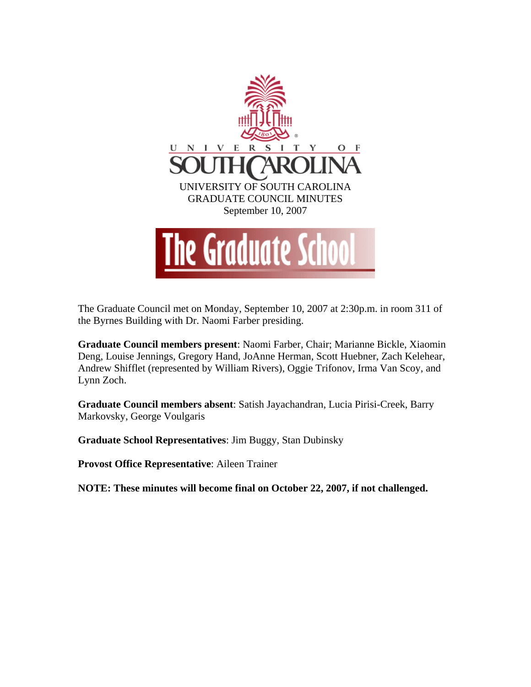

The Graduate Council met on Monday, September 10, 2007 at 2:30p.m. in room 311 of the Byrnes Building with Dr. Naomi Farber presiding.

**Graduate Council members present**: Naomi Farber, Chair; Marianne Bickle, Xiaomin Deng, Louise Jennings, Gregory Hand, JoAnne Herman, Scott Huebner, Zach Kelehear, Andrew Shifflet (represented by William Rivers), Oggie Trifonov, Irma Van Scoy, and Lynn Zoch.

**Graduate Council members absent**: Satish Jayachandran, Lucia Pirisi-Creek, Barry Markovsky, George Voulgaris

**Graduate School Representatives**: Jim Buggy, Stan Dubinsky

**Provost Office Representative**: Aileen Trainer

**NOTE: These minutes will become final on October 22, 2007, if not challenged.**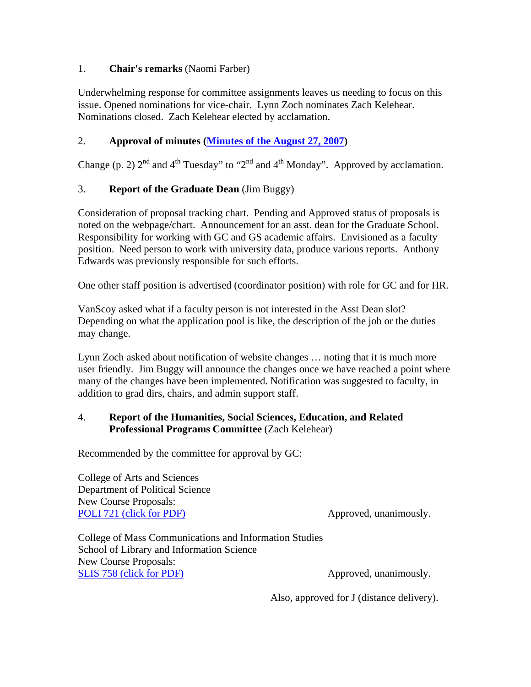## 1. **Chair's remarks** (Naomi Farber)

Underwhelming response for committee assignments leaves us needing to focus on this issue. Opened nominations for vice-chair. Lynn Zoch nominates Zach Kelehear. Nominations closed. Zach Kelehear elected by acclamation.

# 2. **Approval of minutes [\(Minutes of the August 27, 2007](http://www.gradschool.sc.edu/gradcouncil/minutes/GCMinutes082707.pdf))**

Change (p. 2)  $2^{nd}$  and  $4^{th}$  Tuesday" to " $2^{nd}$  and  $4^{th}$  Monday". Approved by acclamation.

# 3. **Report of the Graduate Dean** (Jim Buggy)

Consideration of proposal tracking chart. Pending and Approved status of proposals is noted on the webpage/chart. Announcement for an asst. dean for the Graduate School. Responsibility for working with GC and GS academic affairs. Envisioned as a faculty position. Need person to work with university data, produce various reports. Anthony Edwards was previously responsible for such efforts.

One other staff position is advertised (coordinator position) with role for GC and for HR.

VanScoy asked what if a faculty person is not interested in the Asst Dean slot? Depending on what the application pool is like, the description of the job or the duties may change.

Lynn Zoch asked about notification of website changes … noting that it is much more user friendly. Jim Buggy will announce the changes once we have reached a point where many of the changes have been implemented. Notification was suggested to faculty, in addition to grad dirs, chairs, and admin support staff.

## 4. **Report of the Humanities, Social Sciences, Education, and Related Professional Programs Committee** (Zach Kelehear)

Recommended by the committee for approval by GC:

College of Arts and Sciences Department of Political Science New Course Proposals: [POLI 721 \(click for PDF\)](http://www.gradschool.sc.edu/gradcouncil/Curricula/NCP%20POLI%20721.pdf) Approved, unanimously.

College of Mass Communications and Information Studies School of Library and Information Science New Course Proposals: [SLIS 758 \(click for PDF\)](http://www.gradschool.sc.edu/gradcouncil/Curricula/NCP%20SLIS%20758.pdf) Approved, unanimously.

Also, approved for J (distance delivery).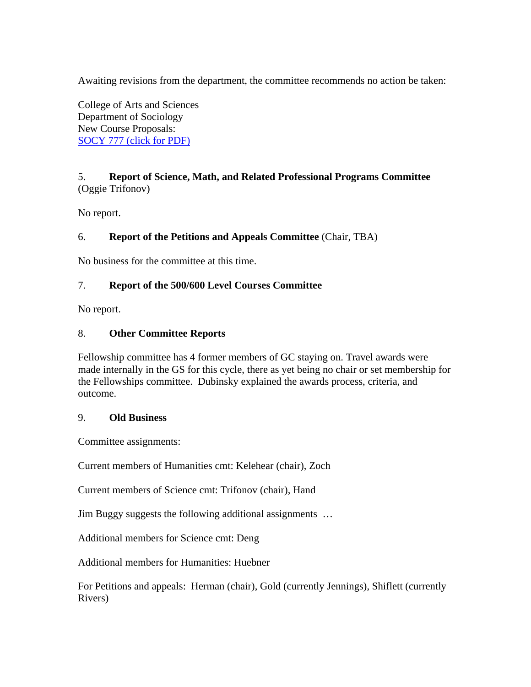Awaiting revisions from the department, the committee recommends no action be taken:

College of Arts and Sciences Department of Sociology New Course Proposals: [SOCY 777 \(click for PDF\)](http://www.gradschool.sc.edu/gradcouncil/Curricula/NCP%20SOCY%20777.pdf)

## 5. **Report of Science, Math, and Related Professional Programs Committee** (Oggie Trifonov)

No report.

## 6. **Report of the Petitions and Appeals Committee** (Chair, TBA)

No business for the committee at this time.

### 7. **Report of the 500/600 Level Courses Committee**

No report.

### 8. **Other Committee Reports**

Fellowship committee has 4 former members of GC staying on. Travel awards were made internally in the GS for this cycle, there as yet being no chair or set membership for the Fellowships committee. Dubinsky explained the awards process, criteria, and outcome.

### 9. **Old Business**

Committee assignments:

Current members of Humanities cmt: Kelehear (chair), Zoch

Current members of Science cmt: Trifonov (chair), Hand

Jim Buggy suggests the following additional assignments …

Additional members for Science cmt: Deng

Additional members for Humanities: Huebner

For Petitions and appeals: Herman (chair), Gold (currently Jennings), Shiflett (currently Rivers)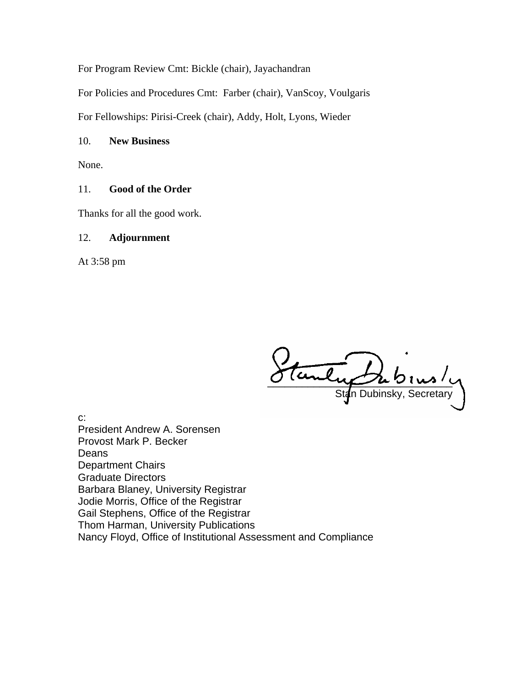For Program Review Cmt: Bickle (chair), Jayachandran

For Policies and Procedures Cmt: Farber (chair), VanScoy, Voulgaris

For Fellowships: Pirisi-Creek (chair), Addy, Holt, Lyons, Wieder

#### 10. **New Business**

None.

## 11. **Good of the Order**

Thanks for all the good work.

#### 12. **Adjournment**

At 3:58 pm

Stanly Stan Dubinsky, Secretary

c: President Andrew A. Sorensen Provost Mark P. Becker Deans Department Chairs Graduate Directors Barbara Blaney, University Registrar Jodie Morris, Office of the Registrar Gail Stephens, Office of the Registrar Thom Harman, University Publications Nancy Floyd, Office of Institutional Assessment and Compliance